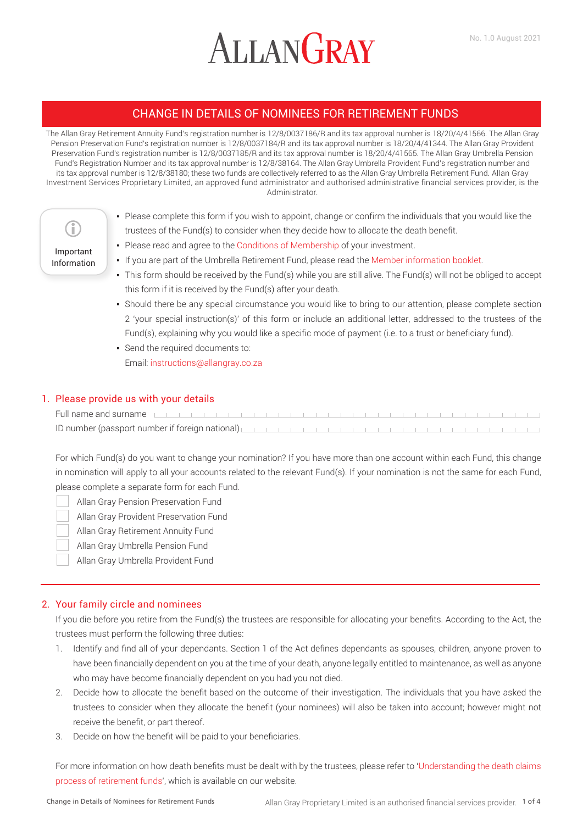# **ALLANGRAY**

# CHANGE IN DETAILS OF NOMINEES FOR RETIREMENT FUNDS

The Allan Gray Retirement Annuity Fund's registration number is 12/8/0037186/R and its tax approval number is 18/20/4/41566. The Allan Gray Pension Preservation Fund's registration number is 12/8/0037184/R and its tax approval number is 18/20/4/41344. The Allan Gray Provident Preservation Fund's registration number is 12/8/0037185/R and its tax approval number is 18/20/4/41565. The Allan Gray Umbrella Pension Fund's Registration Number and its tax approval number is 12/8/38164. The Allan Gray Umbrella Provident Fund's registration number and its tax approval number is 12/8/38180; these two funds are collectively referred to as the Allan Gray Umbrella Retirement Fund. Allan Gray Investment Services Proprietary Limited, an approved fund administrator and authorised administrative financial services provider, is the Administrator.

- Please complete this form if you wish to appoint, change or confirm the individuals that you would like the Œ trustees of the Fund(s) to consider when they decide how to allocate the death benefit. • Please read and agree to the [Conditions of Membership](https://www.allangray.co.za/forms-and-documents/) of your investment. Important ▪ If you are part of the Umbrella Retirement Fund, please read the [Member information booklet.](https://www.allangray.co.za/globalassets/documents-repository/product/brochures/Umbrella%20Fund/Files/Member%20information%20booklet.pdf) Information ▪ This form should be received by the Fund(s) while you are still alive. The Fund(s) will not be obliged to accept this form if it is received by the Fund(s) after your death.
	- Should there be any special circumstance you would like to bring to our attention, please complete section 2 'your special instruction(s)' of this form or include an additional letter, addressed to the trustees of the Fund(s), explaining why you would like a specific mode of payment (i.e. to a trust or beneficiary fund).
	- Send the required documents to: Email: instructions@allangray.co.za

# 1. Please provide us with your details

Full name and surname ID number (passport number if foreign national)

For which Fund(s) do you want to change your nomination? If you have more than one account within each Fund, this change in nomination will apply to all your accounts related to the relevant Fund(s). If your nomination is not the same for each Fund, please complete a separate form for each Fund.

Allan Gray Pension Preservation Fund

Allan Gray Provident Preservation Fund

Allan Gray Retirement Annuity Fund

Allan Gray Umbrella Pension Fund

Allan Gray Umbrella Provident Fund

## 2. Your family circle and nominees

If you die before you retire from the Fund(s) the trustees are responsible for allocating your benefits. According to the Act, the trustees must perform the following three duties:

- 1. Identify and find all of your dependants. Section 1 of the Act defines dependants as spouses, children, anyone proven to have been financially dependent on you at the time of your death, anyone legally entitled to maintenance, as well as anyone who may have become financially dependent on you had you not died.
- 2. Decide how to allocate the benefit based on the outcome of their investigation. The individuals that you have asked the trustees to consider when they allocate the benefit (your nominees) will also be taken into account; however might not receive the benefit, or part thereof.
- 3. Decide on how the benefit will be paid to your beneficiaries.

For more information on how death benefits must be dealt with by the trustees, please refer to ['Understanding the death claims](https://www.allangray.co.za/globalassets/documents-repository/product/brochures/Multiple%20products/Files/Understanding%20the%20death%20claims%20process%20of%20retirement%20funds.pdf)  [process of retirement funds'](https://www.allangray.co.za/globalassets/documents-repository/product/brochures/Multiple%20products/Files/Understanding%20the%20death%20claims%20process%20of%20retirement%20funds.pdf), which is available on our website.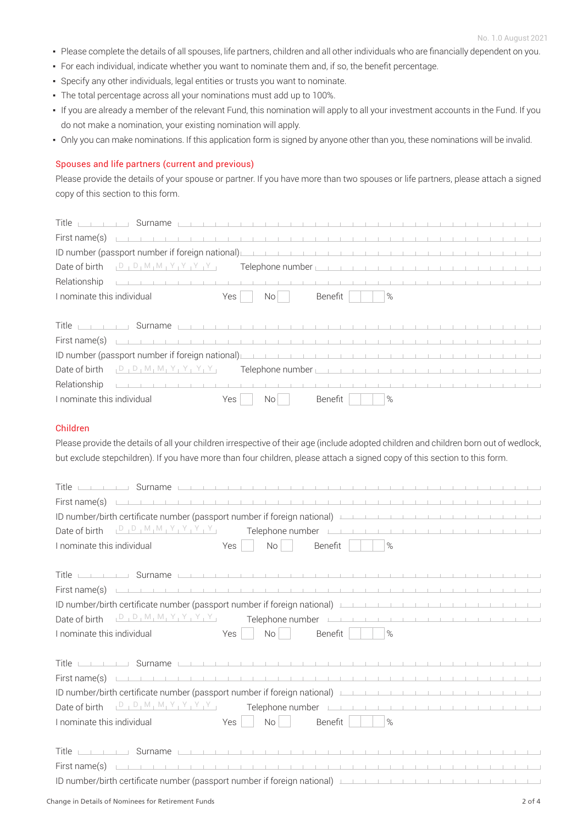- Please complete the details of all spouses, life partners, children and all other individuals who are financially dependent on you.
- For each individual, indicate whether you want to nominate them and, if so, the benefit percentage.
- Specify any other individuals, legal entities or trusts you want to nominate.
- The total percentage across all your nominations must add up to 100%.
- If you are already a member of the relevant Fund, this nomination will apply to all your investment accounts in the Fund. If you do not make a nomination, your existing nomination will apply.
- Only you can make nominations. If this application form is signed by anyone other than you, these nominations will be invalid.

## Spouses and life partners (current and previous)

Please provide the details of your spouse or partner. If you have more than two spouses or life partners, please attach a signed copy of this section to this form.

| Title<br>Surname <u>in the contract of the contract of the contract of the contract of the contract of</u> |     |                                                                                                                                                                                                                                      |         |  |      |  |  |  |  |  |  |
|------------------------------------------------------------------------------------------------------------|-----|--------------------------------------------------------------------------------------------------------------------------------------------------------------------------------------------------------------------------------------|---------|--|------|--|--|--|--|--|--|
| First name(s)                                                                                              |     |                                                                                                                                                                                                                                      |         |  |      |  |  |  |  |  |  |
| ID number (passport number if foreign national)                                                            |     |                                                                                                                                                                                                                                      |         |  |      |  |  |  |  |  |  |
| Date of birth                                                                                              |     |                                                                                                                                                                                                                                      |         |  |      |  |  |  |  |  |  |
| Relationship                                                                                               |     |                                                                                                                                                                                                                                      |         |  |      |  |  |  |  |  |  |
| I nominate this individual                                                                                 | Yes | No I                                                                                                                                                                                                                                 | Benefit |  | $\%$ |  |  |  |  |  |  |
|                                                                                                            |     |                                                                                                                                                                                                                                      |         |  |      |  |  |  |  |  |  |
| Title<br>and the control of the con-                                                                       |     |                                                                                                                                                                                                                                      |         |  |      |  |  |  |  |  |  |
| First name(s)                                                                                              |     |                                                                                                                                                                                                                                      |         |  |      |  |  |  |  |  |  |
| ID number (passport number if foreign national)                                                            |     |                                                                                                                                                                                                                                      |         |  |      |  |  |  |  |  |  |
| , D, D, M, M, Y, Y, Y, Y, Y,<br>Date of birth                                                              |     | Telephone number <u>in the contract of the contract of the contract of the contract of the contract of the contract of the contract of the contract of the contract of the contract of the contract of the contract of the contr</u> |         |  |      |  |  |  |  |  |  |
| Relationship                                                                                               |     |                                                                                                                                                                                                                                      |         |  |      |  |  |  |  |  |  |
| I nominate this individual                                                                                 | Yes | No l                                                                                                                                                                                                                                 | Benefit |  | %    |  |  |  |  |  |  |

## Children

Please provide the details of all your children irrespective of their age (include adopted children and children born out of wedlock, but exclude stepchildren). If you have more than four children, please attach a signed copy of this section to this form.

| <u> 1988 - 1988   1988   1988   1988   1988   1988   1988   1988   1988   1988   1988   1988   1988   1988   1988   1988   1988   1988   1988   1988   1988   1988   1988   1988   1988   1988   1988   1988   1988   1988   198</u><br>Title                       |                                                        |                        |  |  |  |  |  |  |
|---------------------------------------------------------------------------------------------------------------------------------------------------------------------------------------------------------------------------------------------------------------------|--------------------------------------------------------|------------------------|--|--|--|--|--|--|
| First name(s) <u>the contract of the contract of the contract of the contract of the contract of the contract of</u>                                                                                                                                                |                                                        |                        |  |  |  |  |  |  |
| ID number/birth certificate number (passport number if foreign national) International and the content of the content of the content of the content of the content of the content of the content of the content of the content                                      |                                                        |                        |  |  |  |  |  |  |
|                                                                                                                                                                                                                                                                     |                                                        |                        |  |  |  |  |  |  |
| I nominate this individual                                                                                                                                                                                                                                          | Yes<br>No<br>$\mathbb{C}^{\times}$ )<br>Benefit        | $\%$                   |  |  |  |  |  |  |
|                                                                                                                                                                                                                                                                     |                                                        |                        |  |  |  |  |  |  |
| Title <del>Company Surname</del> Company of the product of the product of the product of the product of the product of the product of the product of the product of the product of the product of the product of the product of the pro                             |                                                        |                        |  |  |  |  |  |  |
| First name(s) $\Box$                                                                                                                                                                                                                                                |                                                        |                        |  |  |  |  |  |  |
| ID number/birth certificate number (passport number if foreign national) [10] number $\frac{1}{2}$ [10] $\frac{1}{2}$                                                                                                                                               |                                                        |                        |  |  |  |  |  |  |
|                                                                                                                                                                                                                                                                     |                                                        |                        |  |  |  |  |  |  |
| I nominate this individual                                                                                                                                                                                                                                          | Benefit<br>Yes<br>No <sub>1</sub><br>$\sim$            | $\%$                   |  |  |  |  |  |  |
|                                                                                                                                                                                                                                                                     |                                                        |                        |  |  |  |  |  |  |
|                                                                                                                                                                                                                                                                     |                                                        |                        |  |  |  |  |  |  |
| First name(s) $\Box$                                                                                                                                                                                                                                                |                                                        |                        |  |  |  |  |  |  |
| ID number/birth certificate number (passport number if foreign national)                                                                                                                                                                                            |                                                        |                        |  |  |  |  |  |  |
|                                                                                                                                                                                                                                                                     |                                                        |                        |  |  |  |  |  |  |
| I nominate this individual                                                                                                                                                                                                                                          | No <sub>1</sub><br>Benefit  <br>Yes<br><b>Contract</b> | $\%$<br>$\mathbb{R}^n$ |  |  |  |  |  |  |
|                                                                                                                                                                                                                                                                     |                                                        |                        |  |  |  |  |  |  |
| <u> 1988 - 1999 - 1999 - 1999 - 1999 - 1999 - 1999 - 1999 - 1999 - 1999 - 1999 - 1999 - 1999 - 1999 - 1999 - 1999 - 1999 - 1999 - 1999 - 1999 - 1999 - 1999 - 1999 - 1999 - 1999 - 1999 - 1999 - 1999 - 1999 - 1999 - 1999 - 199</u><br>Title                       |                                                        |                        |  |  |  |  |  |  |
| First name(s) $\Box$                                                                                                                                                                                                                                                |                                                        |                        |  |  |  |  |  |  |
| ID number/birth certificate number (passport number if foreign national) [10] number $\frac{1}{2}$ [10] $\frac{1}{2}$ [10] $\frac{1}{2}$ [10] $\frac{1}{2}$ [10] $\frac{1}{2}$ [10] $\frac{1}{2}$ [10] $\frac{1}{2}$ [10] $\frac{1}{2}$ [10] $\frac{1}{2}$ [10] $\$ |                                                        |                        |  |  |  |  |  |  |
|                                                                                                                                                                                                                                                                     |                                                        |                        |  |  |  |  |  |  |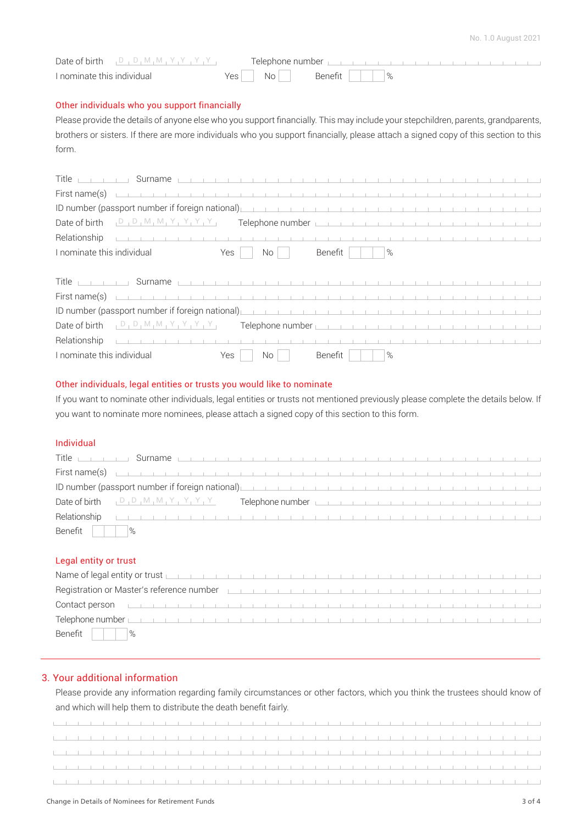the contract of the contract of the contract of the contract of the contract of the contract of the contract of

| Date of birth $P_1 P_2 M_1 M_2 Y_1 Y_2 Y_1 Y_2$ |    |  |  |  |  |  |  |  |
|-------------------------------------------------|----|--|--|--|--|--|--|--|
| I nominate this individual                      | Nη |  |  |  |  |  |  |  |

## Other individuals who you support financially

Please provide the details of anyone else who you support financially. This may include your stepchildren, parents, grandparents, brothers or sisters. If there are more individuals who you support financially, please attach a signed copy of this section to this form.

| Title <u>part of the Surname part of the term of the term of the term of the term of the term of the term of the term of the term of the term of the term of the term of the term of the term of the term of the term of the ter</u>    |     |                 |  |         |  |      |  |  |  |  |  |  |
|-----------------------------------------------------------------------------------------------------------------------------------------------------------------------------------------------------------------------------------------|-----|-----------------|--|---------|--|------|--|--|--|--|--|--|
| First name(s) $\Box$                                                                                                                                                                                                                    |     |                 |  |         |  |      |  |  |  |  |  |  |
| ID number (passport number if foreign national) <u>parameter and the contract of the contract of the contract of the contract of the contract of the contract of the contract of the contract of the contract of the contract of</u>    |     |                 |  |         |  |      |  |  |  |  |  |  |
| Date of birth $[D_1 D_1 M_1 M_1 Y_1 Y_1 Y_2 Y_3]$ Telephone number                                                                                                                                                                      |     |                 |  |         |  |      |  |  |  |  |  |  |
|                                                                                                                                                                                                                                         |     |                 |  |         |  |      |  |  |  |  |  |  |
|                                                                                                                                                                                                                                         |     |                 |  |         |  |      |  |  |  |  |  |  |
| I nominate this individual                                                                                                                                                                                                              | Yes | No <sub>1</sub> |  | Benefit |  | $\%$ |  |  |  |  |  |  |
|                                                                                                                                                                                                                                         |     |                 |  |         |  |      |  |  |  |  |  |  |
| Title <u>parties</u> and <b>Surname</b> particle in the parties of the parties of the parties of the parties of the parties of the parties of the parties of the parties of the parties of the parties of the parties of the parties of |     |                 |  |         |  |      |  |  |  |  |  |  |
|                                                                                                                                                                                                                                         |     |                 |  |         |  |      |  |  |  |  |  |  |

# I nominate this individual The Mesa No Benefit No Benefit No Benefit No Wes

 $\mathbf{r}$ 

## Other individuals, legal entities or trusts you would like to nominate

D D M M Y Y Y Y Date of birth Telephone number

and the control of the control of

If you want to nominate other individuals, legal entities or trusts not mentioned previously please complete the details below. If you want to nominate more nominees, please attach a signed copy of this section to this form.

## Individual

Relationship

|                                      | <u>Title in the Surname part of the term of the term of the term of the term of the term of the term of the term of the term of the term of the term of the term of the term of the term of the term of the term of the term of </u> |  |  |  |  |  |  |  |  |
|--------------------------------------|--------------------------------------------------------------------------------------------------------------------------------------------------------------------------------------------------------------------------------------|--|--|--|--|--|--|--|--|
|                                      |                                                                                                                                                                                                                                      |  |  |  |  |  |  |  |  |
|                                      | ID number (passport number if foreign national)                                                                                                                                                                                      |  |  |  |  |  |  |  |  |
|                                      | Date of birth $[D_1D_1M_1M_1Y_1Y_1Y_1Y_2]$ Telephone number $[D_1D_1M_1M_1Y_1Y_1Y_1Y_2]$                                                                                                                                             |  |  |  |  |  |  |  |  |
|                                      |                                                                                                                                                                                                                                      |  |  |  |  |  |  |  |  |
| Benefit $\vert \vert \vert \vert$  % |                                                                                                                                                                                                                                      |  |  |  |  |  |  |  |  |

#### Legal entity or trust

| $\blacksquare$ Name of legal entity or trust $\blacksquare$ . The contract of the contract of the contract of the contract of the contract of the contract of the contract of the contract of the contract of the contract of the contract of |  |  |  |  |  |  |  |  |  |  |  |  |  |
|-----------------------------------------------------------------------------------------------------------------------------------------------------------------------------------------------------------------------------------------------|--|--|--|--|--|--|--|--|--|--|--|--|--|
| Registration or Master's reference number <b>Experimental control of the control of the control of the control of the control of the control of the control of the control of the control of the control of the control of the c</b>          |  |  |  |  |  |  |  |  |  |  |  |  |  |
| Contact person <u>that the term of the term of the term of the term of the term of the term of the term of the term of the term of the term of the term of the term of the term of the term of the term of the term of the term </u>          |  |  |  |  |  |  |  |  |  |  |  |  |  |
|                                                                                                                                                                                                                                               |  |  |  |  |  |  |  |  |  |  |  |  |  |
| Benefit    <br>$\frac{9}{6}$                                                                                                                                                                                                                  |  |  |  |  |  |  |  |  |  |  |  |  |  |

## 3. Your additional information

Please provide any information regarding family circumstances or other factors, which you think the trustees should know of and which will help them to distribute the death benefit fairly.